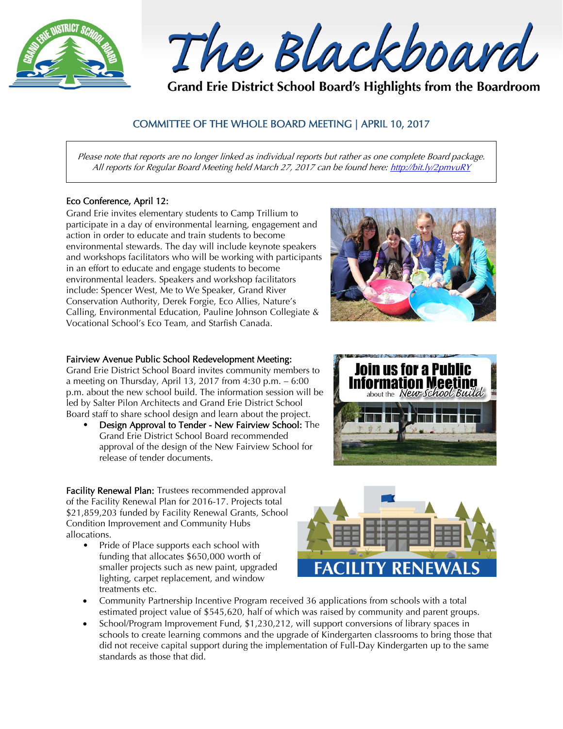

The Blackboard

Grand Erie District School Board's Highlights from the Boardroom

# COMMITTEE OF THE WHOLE BOARD MEETING | APRIL 10, 2017

Please note that reports are no longer linked as individual reports but rather as one complete Board package. All reports for Regular Board Meeting held March 27, 2017 can be found here[: http://bit.ly/2pmvuRY](http://bit.ly/2pmvuRY)

# Eco Conference, April 12:

Grand Erie invites elementary students to Camp Trillium to participate in a day of environmental learning, engagement and action in order to educate and train students to become environmental stewards. The day will include keynote speakers and workshops facilitators who will be working with participants in an effort to educate and engage students to become environmental leaders. Speakers and workshop facilitators include: Spencer West, Me to We Speaker, Grand River Conservation Authority, Derek Forgie, Eco Allies, Nature's Calling, Environmental Education, Pauline Johnson Collegiate & Vocational School's Eco Team, and Starfish Canada.

# Fairview Avenue Public School Redevelopment Meeting:

Grand Erie District School Board invites community members to a meeting on Thursday, April 13, 2017 from 4:30 p.m. – 6:00 p.m. about the new school build. The information session will be led by Salter Pilon Architects and Grand Erie District School Board staff to share school design and learn about the project.

• Design Approval to Tender - New Fairview School: The Grand Erie District School Board recommended approval of the design of the New Fairview School for release of tender documents.

Facility Renewal Plan: Trustees recommended approval of the Facility Renewal Plan for 2016-17. Projects total \$21,859,203 funded by Facility Renewal Grants, School Condition Improvement and Community Hubs allocations.

Pride of Place supports each school with funding that allocates \$650,000 worth of smaller projects such as new paint, upgraded lighting, carpet replacement, and window treatments etc.



- Community Partnership Incentive Program received 36 applications from schools with a total estimated project value of \$545,620, half of which was raised by community and parent groups.
- School/Program Improvement Fund, \$1,230,212, will support conversions of library spaces in schools to create learning commons and the upgrade of Kindergarten classrooms to bring those that did not receive capital support during the implementation of Full-Day Kindergarten up to the same standards as those that did.



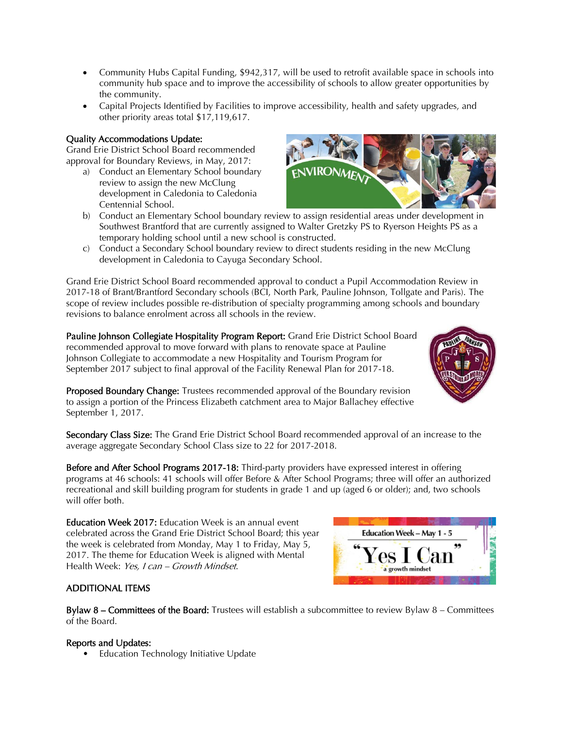- Community Hubs Capital Funding, \$942,317, will be used to retrofit available space in schools into community hub space and to improve the accessibility of schools to allow greater opportunities by the community.
- Capital Projects Identified by Facilities to improve accessibility, health and safety upgrades, and other priority areas total \$17,119,617.

# Quality Accommodations Update:

Grand Erie District School Board recommended approval for Boundary Reviews, in May, 2017:

- a) Conduct an Elementary School boundary review to assign the new McClung development in Caledonia to Caledonia Centennial School.
- b) Conduct an Elementary School boundary review to assign residential areas under development in Southwest Brantford that are currently assigned to Walter Gretzky PS to Ryerson Heights PS as a temporary holding school until a new school is constructed.
- c) Conduct a Secondary School boundary review to direct students residing in the new McClung development in Caledonia to Cayuga Secondary School.

Grand Erie District School Board recommended approval to conduct a Pupil Accommodation Review in 2017-18 of Brant/Brantford Secondary schools (BCI, North Park, Pauline Johnson, Tollgate and Paris). The scope of review includes possible re-distribution of specialty programming among schools and boundary revisions to balance enrolment across all schools in the review.

Pauline Johnson Collegiate Hospitality Program Report: Grand Erie District School Board recommended approval to move forward with plans to renovate space at Pauline Johnson Collegiate to accommodate a new Hospitality and Tourism Program for September 2017 subject to final approval of the Facility Renewal Plan for 2017-18.



Proposed Boundary Change: Trustees recommended approval of the Boundary revision to assign a portion of the Princess Elizabeth catchment area to Major Ballachey effective September 1, 2017.

Secondary Class Size: The Grand Erie District School Board recommended approval of an increase to the average aggregate Secondary School Class size to 22 for 2017-2018.

Before and After School Programs 2017-18: Third-party providers have expressed interest in offering programs at 46 schools: 41 schools will offer Before & After School Programs; three will offer an authorized recreational and skill building program for students in grade 1 and up (aged 6 or older); and, two schools will offer both.

Education Week 2017: Education Week is an annual event celebrated across the Grand Erie District School Board; this year the week is celebrated from Monday, May 1 to Friday, May 5, 2017. The theme for Education Week is aligned with Mental Health Week: Yes, I can - Growth Mindset.

# ADDITIONAL ITEMS

**Bylaw 8 – Committees of the Board:** Trustees will establish a subcommittee to review Bylaw  $8$  – Committees of the Board.

# Reports and Updates:

• Education Technology Initiative Update